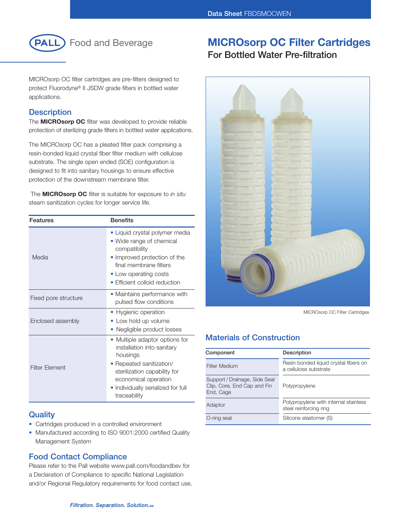

MICROsorp OC filter cartridges are pre-filters designed to protect Fluorodyne® II JSDW grade filters in bottled water applications.

### **Description**

The **MICROsorp OC** filter was developed to provide reliable protection of sterilizing grade filters in bottled water applications.

The MICROsorp OC has a pleated filter pack comprising a resin-bonded liquid crystal fiber filter medium with cellulose substrate. The single open ended (SOE) configuration is designed to fit into sanitary housings to ensure effective protection of the downstream membrane filter.

The **MICROsorp OC** filter is suitable for exposure to *in situ* steam sanitization cycles for longer service life.

| Features              | <b>Benefits</b>                                                                                                                                                                                                  |  |
|-----------------------|------------------------------------------------------------------------------------------------------------------------------------------------------------------------------------------------------------------|--|
| Media                 | • Liquid crystal polymer media<br>• Wide range of chemical<br>compatibility<br>• Improved protection of the<br>final membrane filters<br>• Low operating costs<br>• Efficient colloid reduction                  |  |
| Fixed pore structure  | • Maintains performance with<br>pulsed flow conditions                                                                                                                                                           |  |
| Enclosed assembly     | • Hygienic operation<br>Low hold up volume<br>Negligible product losses                                                                                                                                          |  |
| <b>Filter Flement</b> | • Multiple adaptor options for<br>installation into sanitary<br>housings<br>• Repeated sanitization/<br>sterilization capability for<br>economical operation<br>Individually serialized for full<br>traceability |  |

# **Quality**

- Cartridges produced in a controlled environment
- Manufactured according to ISO 9001:2000 certified Quality Management System

# **Food Contact Compliance**

Please refer to the Pall website www.pall.com/foodandbev for a Declaration of Compliance to specific National Legislation and/or Regional Regulatory requirements for food contact use.

# **MICROsorp OC Filter Cartridges**

**For Bottled Water Pre-filtration**



MICROsorp OC Filter Cartridges

# **Materials of Construction**

| Component                                                                 | Description                                                     |
|---------------------------------------------------------------------------|-----------------------------------------------------------------|
| Filter Medium                                                             | Resin bonded liquid crystal fibers on<br>a cellulose substrate  |
| Support / Drainage, Side Seal<br>Clip, Core, End Cap and Fin<br>End, Cage | Polypropylene                                                   |
| Adaptor                                                                   | Polypropylene with internal stainless<br>steel reinforcing ring |
| O-ring seal                                                               | Silicone elastomer (S)                                          |